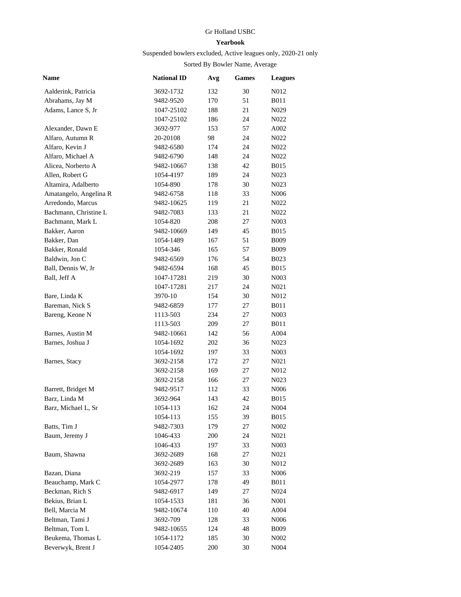## Gr Holland USBC

## **Yearbook**

## Suspended bowlers excluded, Active leagues only, 2020-21 only

## Sorted By Bowler Name, Average

| Name                   | <b>National ID</b> | Avg | <b>Games</b> | <b>Leagues</b>    |
|------------------------|--------------------|-----|--------------|-------------------|
| Aalderink, Patricia    | 3692-1732          | 132 | 30           | N012              |
| Abrahams, Jay M        | 9482-9520          | 170 | 51           | <b>B011</b>       |
| Adams, Lance S, Jr     | 1047-25102         | 188 | 21           | N029              |
|                        | 1047-25102         | 186 | 24           | N <sub>0</sub> 22 |
| Alexander, Dawn E      | 3692-977           | 153 | 57           | A002              |
| Alfaro, Autumn R       | 20-20108           | 98  | 24           | N <sub>0</sub> 22 |
| Alfaro, Kevin J        | 9482-6580          | 174 | 24           | N <sub>0</sub> 22 |
| Alfaro, Michael A      | 9482-6790          | 148 | 24           | N <sub>0</sub> 22 |
| Alicea, Norberto A     | 9482-10667         | 138 | 42           | <b>B015</b>       |
| Allen, Robert G        | 1054-4197          | 189 | 24           | N <sub>0</sub> 23 |
| Altamira, Adalberto    | 1054-890           | 178 | 30           | N <sub>0</sub> 23 |
| Amatangelo, Angelina R | 9482-6758          | 118 | 33           | N <sub>006</sub>  |
| Arredondo, Marcus      | 9482-10625         | 119 | 21           | N <sub>0</sub> 22 |
| Bachmann, Christine L  | 9482-7083          | 133 | 21           | N <sub>0</sub> 22 |
| Bachmann, Mark L       | 1054-820           | 208 | 27           | N <sub>00</sub> 3 |
| Bakker, Aaron          | 9482-10669         | 149 | 45           | <b>B015</b>       |
| Bakker, Dan            | 1054-1489          | 167 | 51           | <b>B009</b>       |
| Bakker, Ronald         | 1054-346           | 165 | 57           | <b>B009</b>       |
| Baldwin, Jon C         | 9482-6569          | 176 | 54           | <b>B023</b>       |
| Ball, Dennis W, Jr     | 9482-6594          | 168 | 45           | <b>B015</b>       |
| Ball, Jeff A           | 1047-17281         | 219 | 30           | N003              |
|                        | 1047-17281         | 217 | 24           | N021              |
| Bare, Linda K          | 3970-10            | 154 | 30           | N012              |
| Bareman, Nick S        | 9482-6859          | 177 | 27           | <b>B011</b>       |
| Bareng, Keone N        | 1113-503           | 234 | 27           | N003              |
|                        | 1113-503           | 209 | 27           | <b>B011</b>       |
| Barnes, Austin M       | 9482-10661         | 142 | 56           | A004              |
| Barnes, Joshua J       | 1054-1692          | 202 | 36           | N <sub>0</sub> 23 |
|                        | 1054-1692          | 197 | 33           | N <sub>0</sub> 03 |
| Barnes, Stacy          | 3692-2158          | 172 | 27           | N <sub>0</sub> 21 |
|                        | 3692-2158          | 169 | 27           | N012              |
|                        | 3692-2158          | 166 | 27           | N <sub>0</sub> 23 |
| Barrett, Bridget M     | 9482-9517          | 112 | 33           | N <sub>006</sub>  |
| Barz, Linda M          | 3692-964           | 143 | 42           | <b>B015</b>       |
| Barz, Michael L, Sr    | 1054-113           | 162 | 24           | N004              |
|                        | 1054-113           | 155 | 39           | <b>B015</b>       |
| Batts, Tim J           | 9482-7303          | 179 | 27           | N002              |
| Baum, Jeremy J         | 1046-433           | 200 | 24           | N021              |
|                        | 1046-433           | 197 | 33           | N <sub>0</sub> 03 |
| Baum, Shawna           | 3692-2689          | 168 | 27           | N021              |
|                        | 3692-2689          | 163 | 30           | N012              |
| Bazan, Diana           | 3692-219           | 157 | 33           | N <sub>006</sub>  |
| Beauchamp, Mark C      | 1054-2977          | 178 | 49           | <b>B011</b>       |
| Beckman, Rich S        | 9482-6917          | 149 | 27           | N024              |
| Bekius, Brian L        | 1054-1533          | 181 | 36           | N <sub>00</sub> 1 |
| Bell, Marcia M         | 9482-10674         | 110 | 40           | A004              |
| Beltman, Tami J        | 3692-709           | 128 | 33           | N006              |
| Beltman, Tom L         | 9482-10655         | 124 | 48           | <b>B009</b>       |
| Beukema, Thomas L      | 1054-1172          | 185 | 30           | N <sub>0</sub> 02 |
| Beverwyk, Brent J      | 1054-2405          | 200 | 30           | N004              |
|                        |                    |     |              |                   |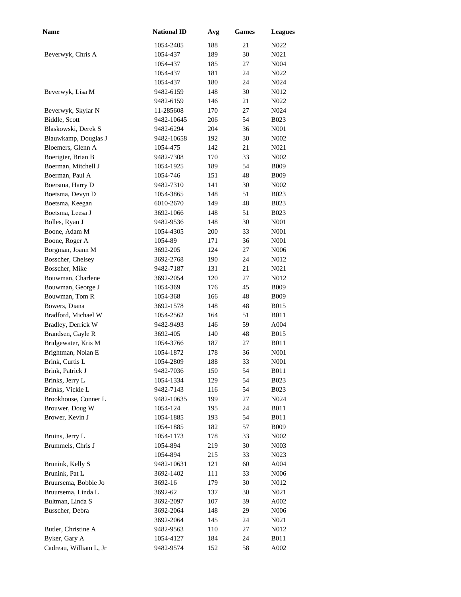| <b>Name</b>            | <b>National ID</b> | Avg | Games | <b>Leagues</b>    |
|------------------------|--------------------|-----|-------|-------------------|
|                        | 1054-2405          | 188 | 21    | N <sub>0</sub> 22 |
| Beverwyk, Chris A      | 1054-437           | 189 | 30    | N <sub>021</sub>  |
|                        | 1054-437           | 185 | 27    | N004              |
|                        | 1054-437           | 181 | 24    | N022              |
|                        | 1054-437           | 180 | 24    | N024              |
| Beverwyk, Lisa M       | 9482-6159          | 148 | 30    | N012              |
|                        | 9482-6159          | 146 | 21    | N022              |
| Beverwyk, Skylar N     | 11-285608          | 170 | 27    | N <sub>0</sub> 24 |
| Biddle, Scott          | 9482-10645         | 206 | 54    | <b>B023</b>       |
| Blaskowski, Derek S    | 9482-6294          | 204 | 36    | N001              |
| Blauwkamp, Douglas J   | 9482-10658         | 192 | 30    | N002              |
| Bloemers, Glenn A      | 1054-475           | 142 | 21    | N021              |
| Boerigter, Brian B     | 9482-7308          | 170 | 33    | N002              |
| Boerman, Mitchell J    | 1054-1925          | 189 | 54    | <b>B009</b>       |
| Boerman, Paul A        | 1054-746           | 151 | 48    | <b>B009</b>       |
| Boersma, Harry D       | 9482-7310          | 141 | 30    | N002              |
| Boetsma, Devyn D       | 1054-3865          | 148 | 51    | <b>B023</b>       |
| Boetsma, Keegan        | 6010-2670          | 149 | 48    | <b>B023</b>       |
| Boetsma, Leesa J       | 3692-1066          | 148 | 51    | <b>B023</b>       |
| Bolles, Ryan J         | 9482-9536          | 148 | 30    | N001              |
| Boone, Adam M          | 1054-4305          | 200 | 33    | N001              |
| Boone, Roger A         | 1054-89            | 171 | 36    | N001              |
| Borgman, Joann M       | 3692-205           | 124 | 27    | N006              |
| Bosscher, Chelsey      | 3692-2768          | 190 | 24    | N012              |
| Bosscher, Mike         | 9482-7187          | 131 | 21    | N <sub>0</sub> 21 |
| Bouwman, Charlene      | 3692-2054          | 120 | 27    | N012              |
| Bouwman, George J      | 1054-369           | 176 | 45    | <b>B009</b>       |
| Bouwman, Tom R         | 1054-368           | 166 | 48    | <b>B009</b>       |
| Bowers, Diana          | 3692-1578          | 148 | 48    | <b>B015</b>       |
| Bradford, Michael W    | 1054-2562          | 164 | 51    | <b>B011</b>       |
| Bradley, Derrick W     | 9482-9493          | 146 | 59    | A004              |
| Brandsen, Gayle R      | 3692-405           | 140 | 48    | <b>B015</b>       |
| Bridgewater, Kris M    | 1054-3766          | 187 | 27    | <b>B011</b>       |
| Brightman, Nolan E     | 1054-1872          | 178 | 36    | N001              |
| Brink, Curtis L        | 1054-2809          | 188 | 33    | N <sub>00</sub> 1 |
| Brink, Patrick J       | 9482-7036          | 150 | 54    | <b>B011</b>       |
| Brinks, Jerry L        | 1054-1334          | 129 | 54    | <b>B023</b>       |
| Brinks, Vickie L       | 9482-7143          | 116 | 54    | <b>B023</b>       |
| Brookhouse, Conner L   | 9482-10635         | 199 | 27    | N <sub>0</sub> 24 |
| Brouwer, Doug W        | 1054-124           | 195 | 24    | <b>B011</b>       |
| Brower, Kevin J        | 1054-1885          | 193 | 54    | <b>B011</b>       |
|                        | 1054-1885          | 182 | 57    | <b>B009</b>       |
| Bruins, Jerry L        | 1054-1173          | 178 | 33    | N <sub>002</sub>  |
| Brummels, Chris J      | 1054-894           | 219 | 30    | N <sub>0</sub> 03 |
|                        | 1054-894           | 215 | 33    | N <sub>0</sub> 23 |
| Brunink, Kelly S       | 9482-10631         | 121 | 60    | A004              |
| Brunink, Pat L         | 3692-1402          | 111 | 33    | N006              |
| Bruursema, Bobbie Jo   | 3692-16            | 179 | 30    | N012              |
| Bruursema, Linda L     | 3692-62            | 137 | 30    | N <sub>0</sub> 21 |
| Bultman, Linda S       | 3692-2097          | 107 | 39    | A002              |
| Busscher, Debra        | 3692-2064          | 148 | 29    | N006              |
|                        | 3692-2064          | 145 | 24    | N <sub>0</sub> 21 |
| Butler, Christine A    | 9482-9563          | 110 | 27    | N012              |
| Byker, Gary A          | 1054-4127          | 184 | 24    | <b>B011</b>       |
| Cadreau, William L, Jr | 9482-9574          | 152 | 58    | A002              |
|                        |                    |     |       |                   |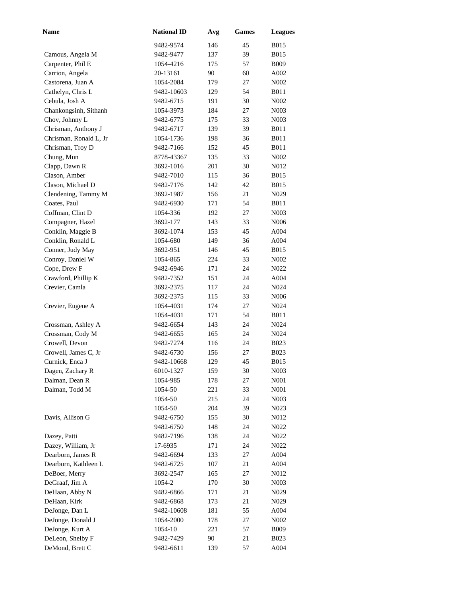| <b>Name</b>            | <b>National ID</b> | Avg | <b>Games</b> | <b>Leagues</b>    |
|------------------------|--------------------|-----|--------------|-------------------|
|                        | 9482-9574          | 146 | 45           | <b>B015</b>       |
| Camous, Angela M       | 9482-9477          | 137 | 39           | <b>B015</b>       |
| Carpenter, Phil E      | 1054-4216          | 175 | 57           | <b>B009</b>       |
| Carrion, Angela        | 20-13161           | 90  | 60           | A002              |
| Castorena, Juan A      | 1054-2084          | 179 | 27           | N002              |
| Cathelyn, Chris L      | 9482-10603         | 129 | 54           | <b>B011</b>       |
| Cebula, Josh A         | 9482-6715          | 191 | 30           | N002              |
| Chankongsinh, Sithanh  | 1054-3973          | 184 | 27           | N003              |
| Chov, Johnny L         | 9482-6775          | 175 | 33           | N003              |
| Chrisman, Anthony J    | 9482-6717          | 139 | 39           | <b>B011</b>       |
| Chrisman, Ronald L, Jr | 1054-1736          | 198 | 36           | <b>B011</b>       |
| Chrisman, Troy D       | 9482-7166          | 152 | 45           | <b>B011</b>       |
| Chung, Mun             | 8778-43367         | 135 | 33           | N002              |
| Clapp, Dawn R          | 3692-1016          | 201 | 30           | N012              |
| Clason, Amber          | 9482-7010          | 115 | 36           | <b>B015</b>       |
| Clason, Michael D      | 9482-7176          | 142 | 42           | <b>B015</b>       |
| Clendening, Tammy M    | 3692-1987          | 156 | 21           | N <sub>0</sub> 29 |
| Coates, Paul           | 9482-6930          | 171 | 54           | <b>B011</b>       |
| Coffman, Clint D       | 1054-336           | 192 | 27           | N003              |
| Compagner, Hazel       | 3692-177           | 143 | 33           | N006              |
| Conklin, Maggie B      | 3692-1074          | 153 | 45           | A004              |
| Conklin, Ronald L      | 1054-680           | 149 | 36           | A004              |
| Conner, Judy May       | 3692-951           | 146 | 45           | <b>B015</b>       |
| Conroy, Daniel W       | 1054-865           | 224 | 33           | N <sub>0</sub> 02 |
| Cope, Drew F           | 9482-6946          | 171 | 24           | N022              |
| Crawford, Phillip K    | 9482-7352          | 151 | 24           | A004              |
| Crevier, Camla         | 3692-2375          | 117 | 24           | N <sub>0</sub> 24 |
|                        | 3692-2375          | 115 | 33           | N006              |
| Crevier, Eugene A      | 1054-4031          | 174 | 27           | N024              |
|                        | 1054-4031          | 171 | 54           | <b>B011</b>       |
| Crossman, Ashley A     | 9482-6654          | 143 | 24           | N <sub>0</sub> 24 |
| Crossman, Cody M       | 9482-6655          | 165 | 24           | N <sub>0</sub> 24 |
| Crowell, Devon         | 9482-7274          | 116 | 24           | <b>B023</b>       |
| Crowell, James C, Jr   | 9482-6730          | 156 | 27           | <b>B023</b>       |
| Curnick, Enca J        | 9482-10668         | 129 | 45           | <b>B015</b>       |
| Dagen, Zachary R       | 6010-1327          | 159 | 30           | N <sub>00</sub> 3 |
| Dalman, Dean R         | 1054-985           | 178 | 27           | N001              |
| Dalman, Todd M         | 1054-50            | 221 | 33           | N <sub>00</sub> 1 |
|                        | 1054-50            | 215 | 24           | N <sub>00</sub> 3 |
|                        | 1054-50            | 204 | 39           | N <sub>0</sub> 23 |
| Davis, Allison G       | 9482-6750          | 155 | 30           | N012              |
|                        | 9482-6750          | 148 | 24           | N022              |
| Dazey, Patti           | 9482-7196          | 138 | 24           | N022              |
| Dazey, William, Jr     | 17-6935            | 171 | 24           | N <sub>0</sub> 22 |
| Dearborn, James R      | 9482-6694          | 133 | 27           | A004              |
| Dearborn, Kathleen L   | 9482-6725          | 107 | 21           | A004              |
| DeBoer, Merry          | 3692-2547          | 165 | 27           | N012              |
| DeGraaf, Jim A         | 1054-2             | 170 | 30           | N <sub>00</sub> 3 |
| DeHaan, Abby N         | 9482-6866          | 171 | 21           | N <sub>0</sub> 29 |
| DeHaan, Kirk           | 9482-6868          | 173 | 21           | N <sub>0</sub> 29 |
| DeJonge, Dan L         | 9482-10608         | 181 | 55           | A004              |
| DeJonge, Donald J      | 1054-2000          | 178 | 27           | N <sub>0</sub> 02 |
| DeJonge, Kurt A        | 1054-10            | 221 | 57           | <b>B009</b>       |
| DeLeon, Shelby F       | 9482-7429          | 90  | 21           | <b>B023</b>       |
| DeMond, Brett C        | 9482-6611          | 139 | 57           | A004              |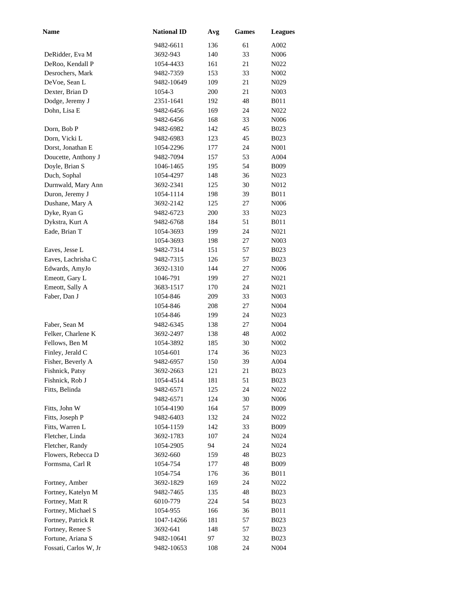| <b>Name</b>           | <b>National ID</b> | Avg | <b>Games</b> | <b>Leagues</b>    |
|-----------------------|--------------------|-----|--------------|-------------------|
|                       | 9482-6611          | 136 | 61           | A002              |
| DeRidder, Eva M       | 3692-943           | 140 | 33           | N <sub>006</sub>  |
| DeRoo, Kendall P      | 1054-4433          | 161 | 21           | N <sub>0</sub> 22 |
| Desrochers, Mark      | 9482-7359          | 153 | 33           | N <sub>0</sub> 02 |
| DeVoe, Sean L         | 9482-10649         | 109 | 21           | N <sub>0</sub> 29 |
| Dexter, Brian D       | 1054-3             | 200 | 21           | N <sub>0</sub> 03 |
| Dodge, Jeremy J       | 2351-1641          | 192 | 48           | <b>B011</b>       |
| Dohn, Lisa E          | 9482-6456          | 169 | 24           | N <sub>0</sub> 22 |
|                       | 9482-6456          | 168 | 33           | N <sub>006</sub>  |
| Dorn, Bob P           | 9482-6982          | 142 | 45           | <b>B023</b>       |
| Dorn, Vicki L         | 9482-6983          | 123 | 45           | <b>B023</b>       |
| Dorst, Jonathan E     | 1054-2296          | 177 | 24           | N001              |
| Doucette, Anthony J   | 9482-7094          | 157 | 53           | A004              |
| Doyle, Brian S        | 1046-1465          | 195 | 54           | <b>B009</b>       |
| Duch, Sophal          | 1054-4297          | 148 | 36           | N <sub>0</sub> 23 |
| Durnwald, Mary Ann    | 3692-2341          | 125 | 30           | N012              |
| Duron, Jeremy J       | 1054-1114          | 198 | 39           | <b>B011</b>       |
| Dushane, Mary A       | 3692-2142          | 125 | 27           | N006              |
| Dyke, Ryan G          | 9482-6723          | 200 | 33           | N <sub>0</sub> 23 |
| Dykstra, Kurt A       | 9482-6768          | 184 | 51           | <b>B011</b>       |
| Eade, Brian T         | 1054-3693          | 199 | 24           | N021              |
|                       | 1054-3693          | 198 | 27           | N003              |
| Eaves, Jesse L        | 9482-7314          | 151 | 57           | <b>B023</b>       |
| Eaves, Lachrisha C    | 9482-7315          | 126 | 57           | <b>B023</b>       |
| Edwards, AmyJo        | 3692-1310          | 144 | 27           | N <sub>006</sub>  |
| Emeott, Gary L        | 1046-791           | 199 | 27           | N <sub>0</sub> 21 |
| Emeott, Sally A       | 3683-1517          | 170 | 24           | N <sub>0</sub> 21 |
| Faber, Dan J          | 1054-846           | 209 | 33           | N003              |
|                       | 1054-846           | 208 | 27           | N <sub>0</sub> 04 |
|                       | 1054-846           | 199 | 24           | N <sub>0</sub> 23 |
| Faber, Sean M         | 9482-6345          | 138 | 27           | N004              |
| Felker, Charlene K    | 3692-2497          | 138 | 48           | A002              |
| Fellows, Ben M        | 1054-3892          | 185 | 30           | N <sub>0</sub> 02 |
| Finley, Jerald C      | 1054-601           | 174 | 36           | N <sub>0</sub> 23 |
| Fisher, Beverly A     | 9482-6957          | 150 | 39           | A004              |
| Fishnick, Patsy       | 3692-2663          | 121 | 21           | <b>B023</b>       |
| Fishnick, Rob J       | 1054-4514          | 181 | 51           | <b>B023</b>       |
| Fitts, Belinda        | 9482-6571          | 125 | 24           | N <sub>0</sub> 22 |
|                       | 9482-6571          | 124 | 30           | N <sub>006</sub>  |
| Fitts, John W         | 1054-4190          | 164 | 57           | <b>B009</b>       |
| Fitts, Joseph P       | 9482-6403          | 132 | 24           | N <sub>0</sub> 22 |
| Fitts, Warren L       | 1054-1159          | 142 | 33           | <b>B009</b>       |
| Fletcher, Linda       | 3692-1783          | 107 | 24           | N <sub>0</sub> 24 |
| Fletcher, Randy       | 1054-2905          | 94  | 24           | N <sub>0</sub> 24 |
| Flowers, Rebecca D    | 3692-660           | 159 | 48           | <b>B023</b>       |
| Formsma, Carl R       | 1054-754           | 177 | 48           | <b>B009</b>       |
|                       | 1054-754           | 176 | 36           | <b>B011</b>       |
| Fortney, Amber        | 3692-1829          | 169 | 24           | N <sub>0</sub> 22 |
| Fortney, Katelyn M    | 9482-7465          | 135 | 48           | <b>B023</b>       |
| Fortney, Matt R       | 6010-779           | 224 | 54           | <b>B023</b>       |
| Fortney, Michael S    | 1054-955           | 166 | 36           | <b>B011</b>       |
| Fortney, Patrick R    | 1047-14266         | 181 | 57           | <b>B023</b>       |
| Fortney, Renee S      | 3692-641           | 148 | 57           | <b>B023</b>       |
| Fortune, Ariana S     | 9482-10641         | 97  | 32           | <b>B023</b>       |
| Fossati, Carlos W, Jr | 9482-10653         | 108 | 24           | N <sub>004</sub>  |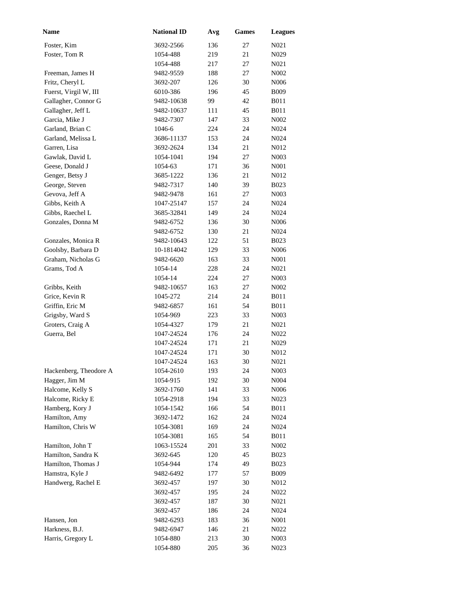| <b>Name</b>            | <b>National ID</b> | Avg | <b>Games</b> | <b>Leagues</b>    |
|------------------------|--------------------|-----|--------------|-------------------|
| Foster, Kim            | 3692-2566          | 136 | 27           | N <sub>0</sub> 21 |
| Foster, Tom R          | 1054-488           | 219 | 21           | N <sub>0</sub> 29 |
|                        | 1054-488           | 217 | 27           | N <sub>0</sub> 21 |
| Freeman, James H       | 9482-9559          | 188 | 27           | N002              |
| Fritz, Cheryl L        | 3692-207           | 126 | 30           | N006              |
| Fuerst, Virgil W, III  | 6010-386           | 196 | 45           | <b>B009</b>       |
| Gallagher, Connor G    | 9482-10638         | 99  | 42           | B011              |
| Gallagher, Jeff L      | 9482-10637         | 111 | 45           | <b>B011</b>       |
| Garcia, Mike J         | 9482-7307          | 147 | 33           | N002              |
| Garland, Brian C       | 1046-6             | 224 | 24           | N024              |
| Garland, Melissa L     | 3686-11137         | 153 | 24           | N024              |
| Garren, Lisa           | 3692-2624          | 134 | 21           | N012              |
| Gawlak, David L        | 1054-1041          | 194 | 27           | N003              |
| Geese, Donald J        | 1054-63            | 171 | 36           | N001              |
| Genger, Betsy J        | 3685-1222          | 136 | 21           | N012              |
| George, Steven         | 9482-7317          | 140 | 39           | <b>B023</b>       |
| Gevova, Jeff A         | 9482-9478          | 161 | 27           | N003              |
| Gibbs, Keith A         | 1047-25147         | 157 | 24           | N024              |
| Gibbs, Raechel L       | 3685-32841         | 149 | 24           | N024              |
| Gonzales, Donna M      | 9482-6752          | 136 | 30           | N006              |
|                        | 9482-6752          | 130 | 21           | N024              |
| Gonzales, Monica R     | 9482-10643         | 122 | 51           | <b>B023</b>       |
| Goolsby, Barbara D     | 10-1814042         | 129 | 33           | N006              |
| Graham, Nicholas G     | 9482-6620          | 163 | 33           | N <sub>001</sub>  |
| Grams, Tod A           | 1054-14            | 228 | 24           | N <sub>0</sub> 21 |
|                        | 1054-14            | 224 | 27           | N003              |
| Gribbs, Keith          | 9482-10657         | 163 | 27           | N002              |
| Grice, Kevin R         | 1045-272           | 214 | 24           | <b>B011</b>       |
| Griffin, Eric M        | 9482-6857          | 161 | 54           | <b>B011</b>       |
| Grigsby, Ward S        | 1054-969           | 223 | 33           | N <sub>00</sub> 3 |
| Groters, Craig A       | 1054-4327          | 179 | 21           | N <sub>021</sub>  |
| Guerra, Bel            | 1047-24524         | 176 | 24           | N <sub>0</sub> 22 |
|                        | 1047-24524         | 171 | 21           | N <sub>0</sub> 29 |
|                        | 1047-24524         | 171 | 30           | N012              |
|                        | 1047-24524         | 163 | 30           | N <sub>0</sub> 21 |
| Hackenberg, Theodore A | 1054-2610          | 193 | 24           | N <sub>00</sub> 3 |
| Hagger, Jim M          | 1054-915           | 192 | 30           | N004              |
| Halcome, Kelly S       | 3692-1760          | 141 | 33           | N <sub>006</sub>  |
| Halcome, Ricky E       | 1054-2918          | 194 | 33           | N <sub>0</sub> 23 |
| Hamberg, Kory J        | 1054-1542          | 166 | 54           | <b>B011</b>       |
| Hamilton, Amy          | 3692-1472          | 162 | 24           | N <sub>0</sub> 24 |
| Hamilton, Chris W      | 1054-3081          | 169 | 24           | N <sub>0</sub> 24 |
|                        | 1054-3081          | 165 | 54           | <b>B011</b>       |
| Hamilton, John T       | 1063-15524         | 201 | 33           | N <sub>0</sub> 02 |
| Hamilton, Sandra K     | 3692-645           | 120 | 45           | <b>B023</b>       |
| Hamilton, Thomas J     | 1054-944           | 174 | 49           | <b>B023</b>       |
| Hamstra, Kyle J        | 9482-6492          | 177 | 57           | <b>B009</b>       |
| Handwerg, Rachel E     | 3692-457           | 197 | 30           | N012              |
|                        | 3692-457           | 195 | 24           | N <sub>0</sub> 22 |
|                        | 3692-457           | 187 | 30           | N <sub>0</sub> 21 |
|                        | 3692-457           | 186 | 24           | N <sub>0</sub> 24 |
| Hansen, Jon            | 9482-6293          | 183 | 36           | N <sub>00</sub> 1 |
| Harkness, B.J.         | 9482-6947          | 146 | 21           | N022              |
| Harris, Gregory L      | 1054-880           | 213 | 30           | N <sub>00</sub> 3 |
|                        | 1054-880           | 205 | 36           | N <sub>0</sub> 23 |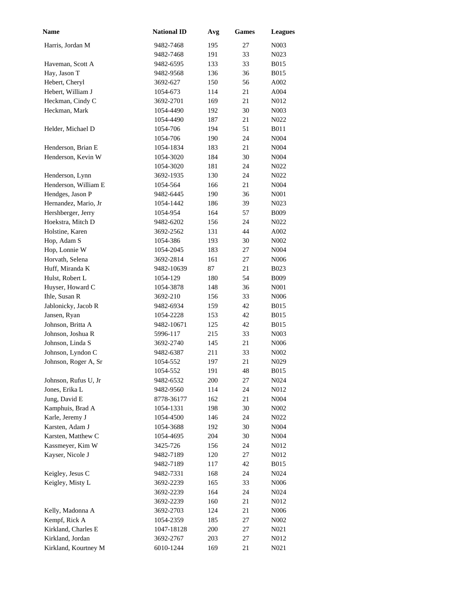| <b>Name</b>          | <b>National ID</b> | Avg | Games | <b>Leagues</b>    |
|----------------------|--------------------|-----|-------|-------------------|
| Harris, Jordan M     | 9482-7468          | 195 | 27    | N <sub>00</sub> 3 |
|                      | 9482-7468          | 191 | 33    | N <sub>0</sub> 23 |
| Haveman, Scott A     | 9482-6595          | 133 | 33    | <b>B015</b>       |
| Hay, Jason T         | 9482-9568          | 136 | 36    | <b>B015</b>       |
| Hebert, Cheryl       | 3692-627           | 150 | 56    | A002              |
| Hebert, William J    | 1054-673           | 114 | 21    | A004              |
| Heckman, Cindy C     | 3692-2701          | 169 | 21    | N012              |
| Heckman, Mark        | 1054-4490          | 192 | 30    | N <sub>0</sub> 03 |
|                      | 1054-4490          | 187 | 21    | N <sub>0</sub> 22 |
| Helder, Michael D    | 1054-706           | 194 | 51    | <b>B011</b>       |
|                      | 1054-706           | 190 | 24    | N004              |
| Henderson, Brian E   | 1054-1834          | 183 | 21    | N004              |
| Henderson, Kevin W   | 1054-3020          | 184 | 30    | N004              |
|                      | 1054-3020          | 181 | 24    | N022              |
| Henderson, Lynn      | 3692-1935          | 130 | 24    | $N022$            |
| Henderson, William E | 1054-564           | 166 | 21    | N004              |
| Hendges, Jason P     | 9482-6445          | 190 | 36    | N <sub>00</sub> 1 |
| Hernandez, Mario, Jr | 1054-1442          | 186 | 39    | N <sub>0</sub> 23 |
| Hershberger, Jerry   | 1054-954           | 164 | 57    | <b>B009</b>       |
| Hoekstra, Mitch D    | 9482-6202          | 156 | 24    | N <sub>0</sub> 22 |
| Holstine, Karen      | 3692-2562          | 131 | 44    | A002              |
| Hop, Adam S          | 1054-386           | 193 | 30    | N002              |
| Hop, Lonnie W        | 1054-2045          | 183 | 27    | N004              |
| Horvath, Selena      | 3692-2814          | 161 | 27    | N <sub>006</sub>  |
| Huff, Miranda K      | 9482-10639         | 87  | 21    | <b>B023</b>       |
| Hulst, Robert L      | 1054-129           | 180 | 54    | <b>B009</b>       |
| Huyser, Howard C     | 1054-3878          | 148 | 36    | N001              |
| Ihle, Susan R        | 3692-210           | 156 | 33    | N <sub>006</sub>  |
| Jablonicky, Jacob R  | 9482-6934          | 159 | 42    | <b>B015</b>       |
| Jansen, Ryan         | 1054-2228          | 153 | 42    | <b>B015</b>       |
| Johnson, Britta A    | 9482-10671         | 125 | 42    | <b>B015</b>       |
| Johnson, Joshua R    | 5996-117           | 215 | 33    | N <sub>0</sub> 03 |
| Johnson, Linda S     | 3692-2740          | 145 | 21    | N <sub>006</sub>  |
| Johnson, Lyndon C    | 9482-6387          | 211 | 33    | N <sub>0</sub> 02 |
| Johnson, Roger A, Sr | 1054-552           | 197 | 21    | N <sub>0</sub> 29 |
|                      | 1054-552           | 191 | 48    | <b>B015</b>       |
| Johnson, Rufus U, Jr | 9482-6532          | 200 | 27    | N024              |
| Jones, Erika L       | 9482-9560          | 114 | 24    | N012              |
| Jung, David E        | 8778-36177         | 162 | 21    | N <sub>004</sub>  |
| Kamphuis, Brad A     | 1054-1331          | 198 | 30    | N <sub>002</sub>  |
| Karle, Jeremy J      | 1054-4500          | 146 | 24    | N <sub>0</sub> 22 |
| Karsten, Adam J      | 1054-3688          | 192 | 30    | N <sub>004</sub>  |
| Karsten, Matthew C   | 1054-4695          | 204 | 30    | N <sub>004</sub>  |
| Kassmeyer, Kim W     | 3425-726           | 156 | 24    | N012              |
| Kayser, Nicole J     | 9482-7189          | 120 | 27    | N012              |
|                      | 9482-7189          | 117 | 42    | <b>B015</b>       |
| Keigley, Jesus C     | 9482-7331          | 168 | 24    | N024              |
| Keigley, Misty L     | 3692-2239          | 165 | 33    | N <sub>006</sub>  |
|                      | 3692-2239          | 164 | 24    | N <sub>0</sub> 24 |
|                      | 3692-2239          | 160 | 21    | N012              |
| Kelly, Madonna A     | 3692-2703          | 124 | 21    | N <sub>006</sub>  |
| Kempf, Rick A        | 1054-2359          | 185 | 27    | N <sub>0</sub> 02 |
| Kirkland, Charles E  | 1047-18128         | 200 | 27    | N <sub>0</sub> 21 |
| Kirkland, Jordan     | 3692-2767          | 203 | 27    | N012              |
| Kirkland, Kourtney M | 6010-1244          | 169 | 21    | N <sub>0</sub> 21 |
|                      |                    |     |       |                   |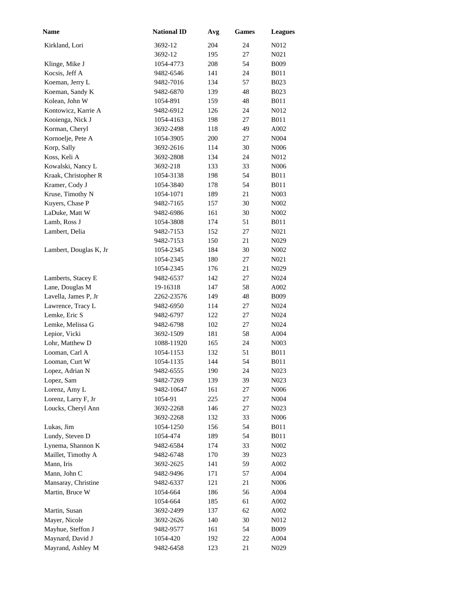| Name                   | <b>National ID</b> | Avg | <b>Games</b> | <b>Leagues</b>    |
|------------------------|--------------------|-----|--------------|-------------------|
| Kirkland, Lori         | 3692-12            | 204 | 24           | N012              |
|                        | 3692-12            | 195 | 27           | N <sub>0</sub> 21 |
| Klinge, Mike J         | 1054-4773          | 208 | 54           | <b>B009</b>       |
| Kocsis, Jeff A         | 9482-6546          | 141 | 24           | <b>B011</b>       |
| Koeman, Jerry L        | 9482-7016          | 134 | 57           | B023              |
| Koeman, Sandy K        | 9482-6870          | 139 | 48           | <b>B023</b>       |
| Kolean, John W         | 1054-891           | 159 | 48           | <b>B011</b>       |
| Kontowicz, Karrie A    | 9482-6912          | 126 | 24           | N012              |
| Kooienga, Nick J       | 1054-4163          | 198 | 27           | <b>B011</b>       |
| Korman, Cheryl         | 3692-2498          | 118 | 49           | A002              |
| Kornoelje, Pete A      | 1054-3905          | 200 | 27           | N004              |
| Korp, Sally            | 3692-2616          | 114 | 30           | N006              |
| Koss, Keli A           | 3692-2808          | 134 | 24           | N012              |
| Kowalski, Nancy L      | 3692-218           | 133 | 33           | N006              |
| Kraak, Christopher R   | 1054-3138          | 198 | 54           | <b>B011</b>       |
| Kramer, Cody J         | 1054-3840          | 178 | 54           | <b>B011</b>       |
| Kruse, Timothy N       | 1054-1071          | 189 | 21           | N <sub>0</sub> 03 |
| Kuyers, Chase P        | 9482-7165          | 157 | 30           | N <sub>0</sub> 02 |
| LaDuke, Matt W         | 9482-6986          | 161 | 30           | N002              |
| Lamb, Ross J           | 1054-3808          | 174 | 51           | <b>B011</b>       |
| Lambert, Delia         | 9482-7153          | 152 | 27           | N021              |
|                        | 9482-7153          | 150 | 21           | N <sub>0</sub> 29 |
| Lambert, Douglas K, Jr | 1054-2345          | 184 | 30           | N <sub>0</sub> 02 |
|                        | 1054-2345          | 180 | 27           | N <sub>0</sub> 21 |
|                        | 1054-2345          | 176 | 21           | N <sub>0</sub> 29 |
| Lamberts, Stacey E     | 9482-6537          | 142 | 27           | N <sub>0</sub> 24 |
| Lane, Douglas M        | 19-16318           | 147 | 58           | A002              |
| Lavella, James P, Jr   | 2262-23576         | 149 | 48           | <b>B009</b>       |
| Lawrence, Tracy L      | 9482-6950          | 114 | 27           | N024              |
| Lemke, Eric S          | 9482-6797          | 122 | 27           | N <sub>0</sub> 24 |
| Lemke, Melissa G       | 9482-6798          | 102 | 27           | N024              |
| Lepior, Vicki          | 3692-1509          | 181 | 58           | A004              |
| Lohr, Matthew D        | 1088-11920         | 165 | 24           | N <sub>0</sub> 03 |
| Looman, Carl A         | 1054-1153          | 132 | 51           | <b>B011</b>       |
| Looman, Curt W         | 1054-1135          | 144 | 54           | <b>B011</b>       |
| Lopez, Adrian N        | 9482-6555          | 190 | 24           | N <sub>0</sub> 23 |
| Lopez, Sam             | 9482-7269          | 139 | 39           | N023              |
| Lorenz, Amy L          | 9482-10647         | 161 | 27           | N <sub>006</sub>  |
| Lorenz, Larry F, Jr    | 1054-91            | 225 | 27           | N <sub>004</sub>  |
| Loucks, Cheryl Ann     | 3692-2268          | 146 | 27           | N <sub>0</sub> 23 |
|                        | 3692-2268          | 132 | 33           | N <sub>006</sub>  |
| Lukas, Jim             | 1054-1250          | 156 | 54           | <b>B011</b>       |
| Lundy, Steven D        | 1054-474           | 189 | 54           | <b>B011</b>       |
| Lynema, Shannon K      | 9482-6584          | 174 | 33           | N002              |
| Maillet, Timothy A     | 9482-6748          | 170 | 39           | N <sub>0</sub> 23 |
| Mann, Iris             | 3692-2625          | 141 | 59           | A002              |
| Mann, John C           | 9482-9496          | 171 | 57           | A004              |
| Mansaray, Christine    | 9482-6337          | 121 | 21           | N <sub>006</sub>  |
| Martin, Bruce W        | 1054-664           | 186 | 56           | A004              |
|                        | 1054-664           | 185 | 61           | A002              |
| Martin, Susan          | 3692-2499          | 137 | 62           | A002              |
| Mayer, Nicole          | 3692-2626          | 140 | 30           | N012              |
| Mayhue, Steffon J      | 9482-9577          | 161 | 54           | <b>B009</b>       |
| Maynard, David J       | 1054-420           | 192 | 22           | A004              |
| Mayrand, Ashley M      | 9482-6458          | 123 | 21           | N <sub>0</sub> 29 |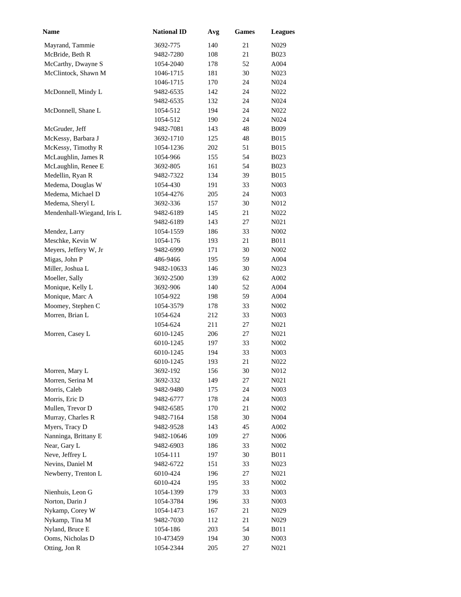| Name                       | <b>National ID</b> | Avg | <b>Games</b> | <b>Leagues</b>    |
|----------------------------|--------------------|-----|--------------|-------------------|
| Mayrand, Tammie            | 3692-775           | 140 | 21           | N <sub>0</sub> 29 |
| McBride, Beth R            | 9482-7280          | 108 | 21           | <b>B023</b>       |
| McCarthy, Dwayne S         | 1054-2040          | 178 | 52           | A004              |
| McClintock, Shawn M        | 1046-1715          | 181 | 30           | N023              |
|                            | 1046-1715          | 170 | 24           | N024              |
| McDonnell, Mindy L         | 9482-6535          | 142 | 24           | N022              |
|                            | 9482-6535          | 132 | 24           | N <sub>0</sub> 24 |
| McDonnell, Shane L         | 1054-512           | 194 | 24           | N022              |
|                            | 1054-512           | 190 | 24           | N <sub>0</sub> 24 |
| McGruder, Jeff             | 9482-7081          | 143 | 48           | <b>B009</b>       |
| McKessy, Barbara J         | 3692-1710          | 125 | 48           | <b>B015</b>       |
| McKessy, Timothy R         | 1054-1236          | 202 | 51           | <b>B015</b>       |
| McLaughlin, James R        | 1054-966           | 155 | 54           | B023              |
| McLaughlin, Renee E        | 3692-805           | 161 | 54           | <b>B023</b>       |
| Medellin, Ryan R           | 9482-7322          | 134 | 39           | <b>B015</b>       |
| Medema, Douglas W          | 1054-430           | 191 | 33           | N <sub>00</sub> 3 |
| Medema, Michael D          | 1054-4276          | 205 | 24           | N <sub>0</sub> 03 |
| Medema, Sheryl L           | 3692-336           | 157 | 30           | N012              |
| Mendenhall-Wiegand, Iris L | 9482-6189          | 145 | 21           | N022              |
|                            | 9482-6189          | 143 | 27           | N021              |
| Mendez, Larry              | 1054-1559          | 186 | 33           | N002              |
| Meschke, Kevin W           | 1054-176           | 193 | 21           | <b>B011</b>       |
| Meyers, Jeffery W, Jr      | 9482-6990          | 171 | 30           | N002              |
| Migas, John P              | 486-9466           | 195 | 59           | A004              |
| Miller, Joshua L           | 9482-10633         | 146 | 30           | N <sub>0</sub> 23 |
| Moeller, Sally             | 3692-2500          | 139 | 62           | A002              |
| Monique, Kelly L           | 3692-906           | 140 | 52           | A004              |
| Monique, Marc A            | 1054-922           | 198 | 59           | A004              |
| Moomey, Stephen C          | 1054-3579          | 178 | 33           | N002              |
| Morren, Brian L            | 1054-624           | 212 | 33           | N <sub>0</sub> 03 |
|                            | 1054-624           | 211 | 27           | N <sub>0</sub> 21 |
| Morren, Casey L            | 6010-1245          | 206 | 27           | N <sub>0</sub> 21 |
|                            | 6010-1245          | 197 | 33           | N <sub>0</sub> 02 |
|                            | 6010-1245          | 194 | 33           | N003              |
|                            | 6010-1245          | 193 | 21           | N <sub>0</sub> 22 |
| Morren, Mary L             | 3692-192           | 156 | 30           | N012              |
| Morren, Serina M           | 3692-332           | 149 | 27           | N021              |
| Morris, Caleb              | 9482-9480          | 175 | 24           | N <sub>00</sub> 3 |
| Morris, Eric D             | 9482-6777          | 178 | 24           | N <sub>00</sub> 3 |
| Mullen, Trevor D           | 9482-6585          | 170 | 21           | N <sub>0</sub> 02 |
| Murray, Charles R          | 9482-7164          | 158 | 30           | N <sub>004</sub>  |
| Myers, Tracy D             | 9482-9528          | 143 | 45           | A002              |
| Nanninga, Brittany E       | 9482-10646         | 109 | 27           | N <sub>006</sub>  |
| Near, Gary L               | 9482-6903          | 186 | 33           | N <sub>0</sub> 02 |
| Neve, Jeffrey L            | 1054-111           | 197 | 30           | <b>B011</b>       |
| Nevins, Daniel M           | 9482-6722          | 151 | 33           | N <sub>0</sub> 23 |
| Newberry, Trenton L        | 6010-424           | 196 | 27           | N <sub>0</sub> 21 |
|                            | 6010-424           | 195 | 33           | N <sub>0</sub> 02 |
| Nienhuis, Leon G           | 1054-1399          | 179 | 33           | N <sub>0</sub> 03 |
| Norton, Darin J            | 1054-3784          | 196 | 33           | N <sub>0</sub> 03 |
| Nykamp, Corey W            | 1054-1473          | 167 | 21           | N <sub>0</sub> 29 |
| Nykamp, Tina M             | 9482-7030          | 112 | 21           | N <sub>0</sub> 29 |
| Nyland, Bruce E            | 1054-186           | 203 | 54           | <b>B011</b>       |
| Ooms, Nicholas D           | 10-473459          | 194 | 30           | N <sub>00</sub> 3 |
| Otting, Jon R              | 1054-2344          | 205 | 27           | N <sub>0</sub> 21 |
|                            |                    |     |              |                   |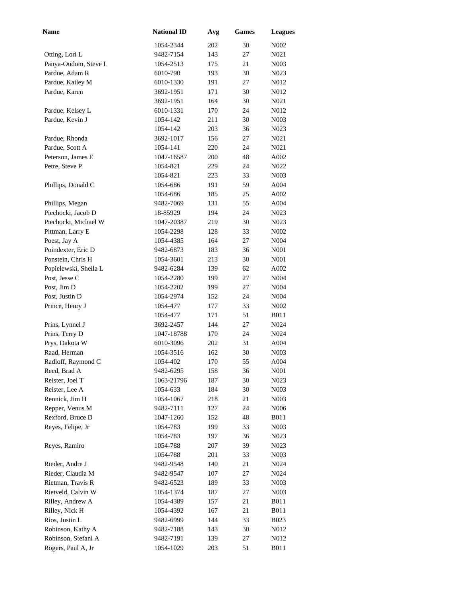| <b>Name</b>           | <b>National ID</b> | Avg | <b>Games</b> | <b>Leagues</b>            |
|-----------------------|--------------------|-----|--------------|---------------------------|
|                       | 1054-2344          | 202 | 30           | $N002$                    |
| Otting, Lori L        | 9482-7154          | 143 | 27           | N <sub>0</sub> 21         |
| Panya-Oudom, Steve L  | 1054-2513          | 175 | 21           | N <sub>0</sub> 03         |
| Pardue, Adam R        | 6010-790           | 193 | 30           | N <sub>0</sub> 23         |
| Pardue, Kailey M      | 6010-1330          | 191 | 27           | N012                      |
| Pardue, Karen         | 3692-1951          | 171 | 30           | N012                      |
|                       | 3692-1951          | 164 | 30           | N <sub>0</sub> 21         |
| Pardue, Kelsey L      | 6010-1331          | 170 | 24           | N012                      |
| Pardue, Kevin J       | 1054-142           | 211 | 30           | N <sub>0</sub> 03         |
|                       | 1054-142           | 203 | 36           | N <sub>0</sub> 23         |
| Pardue, Rhonda        | 3692-1017          | 156 | 27           | N <sub>021</sub>          |
| Pardue, Scott A       | 1054-141           | 220 | 24           | N021                      |
| Peterson, James E     | 1047-16587         | 200 | 48           | A002                      |
| Petre, Steve P        | 1054-821           | 229 | 24           | N022                      |
|                       | 1054-821           | 223 | 33           | N <sub>0</sub> 03         |
| Phillips, Donald C    | 1054-686           | 191 | 59           | A004                      |
|                       | 1054-686           | 185 | 25           | A002                      |
| Phillips, Megan       | 9482-7069          | 131 | 55           | A004                      |
| Piechocki, Jacob D    | 18-85929           | 194 | 24           | N <sub>0</sub> 23         |
| Piechocki, Michael W  | 1047-20387         | 219 | 30           | N <sub>0</sub> 23         |
| Pittman, Larry E      | 1054-2298          | 128 | 33           | N <sub>0</sub> 02         |
| Poest, Jay A          | 1054-4385          | 164 | 27           | N004                      |
| Poindexter, Eric D    | 9482-6873          | 183 | 36           | N <sub>001</sub>          |
| Ponstein, Chris H     | 1054-3601          | 213 | 30           | N <sub>001</sub>          |
| Popielewski, Sheila L | 9482-6284          | 139 | 62           | A002                      |
| Post, Jesse C         | 1054-2280          | 199 | 27           | N <sub>004</sub>          |
| Post, Jim D           | 1054-2202          | 199 | 27           | N <sub>004</sub>          |
| Post, Justin D        | 1054-2974          | 152 | 24           | N <sub>004</sub>          |
| Prince, Henry J       | 1054-477           | 177 | 33           | N002                      |
|                       | 1054-477           | 171 | 51           | <b>B011</b>               |
| Prins, Lynnel J       | 3692-2457          | 144 | 27           | N024                      |
| Prins, Terry D        | 1047-18788         | 170 | 24           | N <sub>0</sub> 24         |
| Prys, Dakota W        | 6010-3096          | 202 | 31           | A004                      |
| Raad, Herman          | 1054-3516          | 162 | 30           | N <sub>00</sub> 3         |
| Radloff, Raymond C    | 1054-402           | 170 | 55           | A004                      |
| Reed, Brad A          | 9482-6295          | 158 | 36           | N001                      |
| Reister, Joel T       | 1063-21796         | 187 | 30           | N023                      |
| Reister, Lee A        | 1054-633           | 184 | 30           | N <sub>00</sub> 3         |
| Rennick, Jim H        | 1054-1067          | 218 | 21           | N <sub>00</sub> 3         |
| Repper, Venus M       | 9482-7111          | 127 | 24           | N <sub>006</sub>          |
| Rexford, Bruce D      | 1047-1260          | 152 | 48           | <b>B011</b>               |
| Reyes, Felipe, Jr     | 1054-783           | 199 | 33           | N003                      |
|                       | 1054-783           | 197 | 36           | N <sub>0</sub> 23         |
| Reyes, Ramiro         | 1054-788           | 207 | 39           | N023                      |
|                       | 1054-788           | 201 | 33           | N <sub>00</sub> 3         |
| Rieder, Andre J       | 9482-9548          | 140 | 21           | N <sub>0</sub> 24         |
| Rieder, Claudia M     | 9482-9547          | 107 | 27           | N024                      |
| Rietman, Travis R     | 9482-6523          | 189 | 33           | N <sub>00</sub> 3         |
| Rietveld, Calvin W    | 1054-1374          | 187 | 27           | N <sub>00</sub> 3         |
| Rilley, Andrew A      | 1054-4389          | 157 | 21           | <b>B011</b>               |
| Rilley, Nick H        | 1054-4392          | 167 | 21           | <b>B011</b>               |
| Rios, Justin L        | 9482-6999          | 144 | 33           |                           |
| Robinson, Kathy A     | 9482-7188          | 143 | 30           | <b>B023</b>               |
| Robinson, Stefani A   | 9482-7191          | 139 | 27           | N <sub>0</sub> 12<br>N012 |
| Rogers, Paul A, Jr    | 1054-1029          | 203 | 51           | <b>B011</b>               |
|                       |                    |     |              |                           |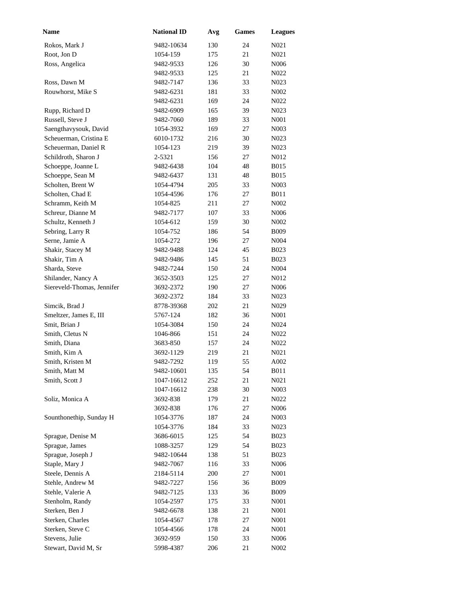| Name                       | <b>National ID</b> | Avg | <b>Games</b> | <b>Leagues</b>    |
|----------------------------|--------------------|-----|--------------|-------------------|
| Rokos, Mark J              | 9482-10634         | 130 | 24           | N <sub>021</sub>  |
| Root, Jon D                | 1054-159           | 175 | 21           | N021              |
| Ross, Angelica             | 9482-9533          | 126 | 30           | N006              |
|                            | 9482-9533          | 125 | 21           | N <sub>0</sub> 22 |
| Ross, Dawn M               | 9482-7147          | 136 | 33           | N <sub>0</sub> 23 |
| Rouwhorst, Mike S          | 9482-6231          | 181 | 33           | N <sub>0</sub> 02 |
|                            | 9482-6231          | 169 | 24           | N022              |
| Rupp, Richard D            | 9482-6909          | 165 | 39           | N <sub>0</sub> 23 |
| Russell, Steve J           | 9482-7060          | 189 | 33           | N001              |
| Saengthavysouk, David      | 1054-3932          | 169 | 27           | N003              |
| Scheuerman, Cristina E     | 6010-1732          | 216 | 30           | N <sub>0</sub> 23 |
| Scheuerman, Daniel R       | 1054-123           | 219 | 39           | N <sub>0</sub> 23 |
| Schildroth, Sharon J       | 2-5321             | 156 | 27           | N012              |
| Schoeppe, Joanne L         | 9482-6438          | 104 | 48           | <b>B015</b>       |
| Schoeppe, Sean M           | 9482-6437          | 131 | 48           | <b>B015</b>       |
| Scholten, Brent W          | 1054-4794          | 205 | 33           | N <sub>0</sub> 03 |
| Scholten, Chad E           | 1054-4596          | 176 | 27           | <b>B011</b>       |
| Schramm, Keith M           | 1054-825           | 211 | 27           | N <sub>0</sub> 02 |
| Schreur, Dianne M          | 9482-7177          | 107 | 33           | N006              |
| Schultz, Kenneth J         | 1054-612           | 159 | 30           | N002              |
| Sebring, Larry R           | 1054-752           | 186 | 54           | <b>B009</b>       |
| Serne, Jamie A             | 1054-272           | 196 | 27           | N <sub>004</sub>  |
| Shakir, Stacey M           | 9482-9488          | 124 | 45           | <b>B023</b>       |
| Shakir, Tim A              | 9482-9486          | 145 | 51           | <b>B023</b>       |
| Sharda, Steve              | 9482-7244          | 150 | 24           | N004              |
| Shilander, Nancy A         | 3652-3503          | 125 | 27           | N012              |
| Siereveld-Thomas, Jennifer | 3692-2372          | 190 | 27           | N006              |
|                            | 3692-2372          | 184 | 33           | N <sub>0</sub> 23 |
| Simcik, Brad J             | 8778-39368         | 202 | 21           | N <sub>0</sub> 29 |
| Smeltzer, James E, III     | 5767-124           | 182 | 36           | N <sub>00</sub> 1 |
| Smit, Brian J              | 1054-3084          | 150 | 24           | N <sub>0</sub> 24 |
| Smith, Cletus N            | 1046-866           | 151 | 24           | N <sub>0</sub> 22 |
| Smith, Diana               | 3683-850           | 157 | 24           | N <sub>0</sub> 22 |
| Smith, Kim A               | 3692-1129          | 219 | 21           | N021              |
| Smith, Kristen M           | 9482-7292          | 119 | 55           | A002              |
| Smith, Matt M              | 9482-10601         | 135 | 54           | <b>B011</b>       |
| Smith, Scott J             | 1047-16612         | 252 | 21           | N021              |
|                            | 1047-16612         | 238 | 30           | N <sub>00</sub> 3 |
| Soliz, Monica A            | 3692-838           | 179 | 21           | N <sub>0</sub> 22 |
|                            | 3692-838           | 176 | 27           | N <sub>006</sub>  |
| Sounthonethip, Sunday H    | 1054-3776          | 187 | 24           | N <sub>00</sub> 3 |
|                            | 1054-3776          | 184 | 33           | N <sub>0</sub> 23 |
| Sprague, Denise M          | 3686-6015          | 125 | 54           | <b>B023</b>       |
| Sprague, James             | 1088-3257          | 129 | 54           | <b>B023</b>       |
| Sprague, Joseph J          | 9482-10644         | 138 | 51           | <b>B023</b>       |
| Staple, Mary J             | 9482-7067          | 116 | 33           | N006              |
| Steele, Dennis A           | 2184-5114          | 200 | 27           | N <sub>001</sub>  |
| Stehle, Andrew M           | 9482-7227          | 156 | 36           | <b>B009</b>       |
| Stehle, Valerie A          | 9482-7125          | 133 | 36           | <b>B009</b>       |
| Stenholm, Randy            | 1054-2597          | 175 | 33           | N <sub>00</sub> 1 |
| Sterken, Ben J             | 9482-6678          | 138 | 21           | N <sub>00</sub> 1 |
| Sterken, Charles           | 1054-4567          | 178 | 27           | N <sub>00</sub> 1 |
| Sterken, Steve C           | 1054-4566          | 178 | 24           | N <sub>00</sub> 1 |
| Stevens, Julie             | 3692-959           | 150 | 33           | N <sub>006</sub>  |
| Stewart, David M, Sr       | 5998-4387          | 206 | 21           | N002              |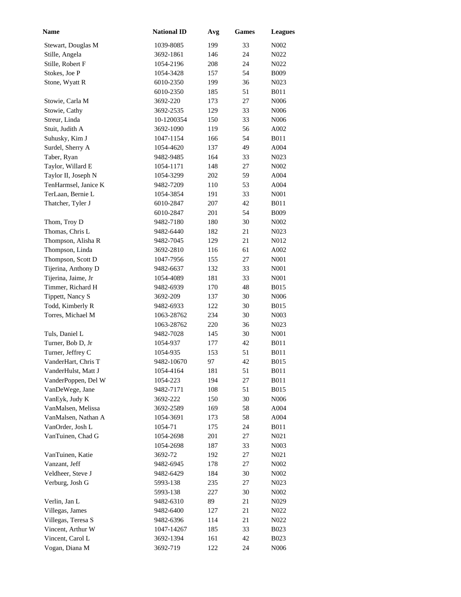| Name                                   | <b>National ID</b>     | Avg       | <b>Games</b> | <b>Leagues</b>             |
|----------------------------------------|------------------------|-----------|--------------|----------------------------|
| Stewart, Douglas M                     | 1039-8085              | 199       | 33           | N <sub>0</sub> 02          |
| Stille, Angela                         | 3692-1861              | 146       | 24           | N <sub>0</sub> 22          |
| Stille, Robert F                       | 1054-2196              | 208       | 24           | N <sub>0</sub> 22          |
| Stokes, Joe P                          | 1054-3428              | 157       | 54           | <b>B009</b>                |
| Stone, Wyatt R                         | 6010-2350              | 199       | 36           | N <sub>0</sub> 23          |
|                                        | 6010-2350              | 185       | 51           | <b>B011</b>                |
| Stowie, Carla M                        | 3692-220               | 173       | 27           | N006                       |
| Stowie, Cathy                          | 3692-2535              | 129       | 33           | N006                       |
| Streur, Linda                          | 10-1200354             | 150       | 33           | N006                       |
| Stuit, Judith A                        | 3692-1090              | 119       | 56           | A002                       |
| Suhusky, Kim J                         | 1047-1154              | 166       | 54           | <b>B011</b>                |
| Surdel, Sherry A                       | 1054-4620              | 137       | 49           | A004                       |
| Taber, Ryan                            | 9482-9485              | 164       | 33           | N <sub>0</sub> 23          |
| Taylor, Willard E                      | 1054-1171              | 148       | 27           | N002                       |
| Taylor II, Joseph N                    | 1054-3299              | 202       | 59           | A004                       |
| TenHarmsel, Janice K                   | 9482-7209              | 110       | 53           | A004                       |
| TerLaan, Bernie L                      | 1054-3854              | 191       | 33           | N001                       |
| Thatcher, Tyler J                      | 6010-2847              | 207       | 42           | <b>B011</b>                |
|                                        | 6010-2847              | 201       | 54           | <b>B009</b>                |
| Thom, Troy D                           | 9482-7180              | 180       | 30           | N002                       |
| Thomas, Chris L                        | 9482-6440              | 182       | 21           | N <sub>0</sub> 23          |
| Thompson, Alisha R                     | 9482-7045              | 129       | 21           | N012                       |
| Thompson, Linda                        | 3692-2810              | 116       | 61           | A002                       |
| Thompson, Scott D                      | 1047-7956              | 155       | 27           | N001                       |
| Tijerina, Anthony D                    | 9482-6637              | 132       | 33           | N001                       |
| Tijerina, Jaime, Jr                    | 1054-4089              | 181       | 33           | N001                       |
| Timmer, Richard H                      | 9482-6939              | 170       | 48           | <b>B015</b>                |
| Tippett, Nancy S                       | 3692-209               | 137       | 30           | N006                       |
| Todd, Kimberly R                       | 9482-6933              | 122       | 30           | <b>B015</b>                |
|                                        |                        | 234       | 30           |                            |
| Torres, Michael M                      | 1063-28762             |           | 36           | N <sub>0</sub> 03          |
|                                        | 1063-28762             | 220       | 30           | N <sub>0</sub> 23          |
| Tuls, Daniel L                         | 9482-7028              | 145       | 42           | N <sub>001</sub>           |
| Turner, Bob D, Jr<br>Turner, Jeffrey C | 1054-937               | 177       | 51           | <b>B011</b><br><b>B011</b> |
| VanderHart, Chris T                    | 1054-935<br>9482-10670 | 153<br>97 | 42           |                            |
|                                        |                        |           |              | <b>B015</b>                |
| VanderHulst, Matt J                    | 1054-4164              | 181       | 51           | <b>B011</b>                |
| VanderPoppen, Del W                    | 1054-223               | 194       | 27           | <b>B011</b>                |
| VanDeWege, Jane                        | 9482-7171              | 108       | 51           | <b>B015</b>                |
| VanEyk, Judy K                         | 3692-222               | 150       | 30           | N <sub>006</sub>           |
| VanMalsen, Melissa                     | 3692-2589              | 169       | 58           | A004                       |
| VanMalsen, Nathan A                    | 1054-3691              | 173       | 58           | A004                       |
| VanOrder, Josh L                       | 1054-71                | 175       | 24           | <b>B011</b>                |
| VanTuinen, Chad G                      | 1054-2698              | 201       | 27           | N021                       |
|                                        | 1054-2698              | 187       | 33           | N <sub>00</sub> 3          |
| VanTuinen, Katie                       | 3692-72                | 192       | 27           | N <sub>0</sub> 21          |
| Vanzant, Jeff                          | 9482-6945              | 178       | 27           | N <sub>0</sub> 02          |
| Veldheer, Steve J                      | 9482-6429              | 184       | 30           | N <sub>0</sub> 02          |
| Verburg, Josh G                        | 5993-138               | 235       | 27           | N <sub>0</sub> 23          |
|                                        | 5993-138               | 227       | 30           | N <sub>0</sub> 02          |
| Verlin, Jan L                          | 9482-6310              | 89        | 21           | N <sub>0</sub> 29          |
| Villegas, James                        | 9482-6400              | 127       | 21           | N022                       |
| Villegas, Teresa S                     | 9482-6396              | 114       | 21           | N <sub>0</sub> 22          |
| Vincent, Arthur W                      | 1047-14267             | 185       | 33           | <b>B023</b>                |
| Vincent, Carol L                       | 3692-1394              | 161       | 42           | <b>B023</b>                |
| Vogan, Diana M                         | 3692-719               | 122       | 24           | N006                       |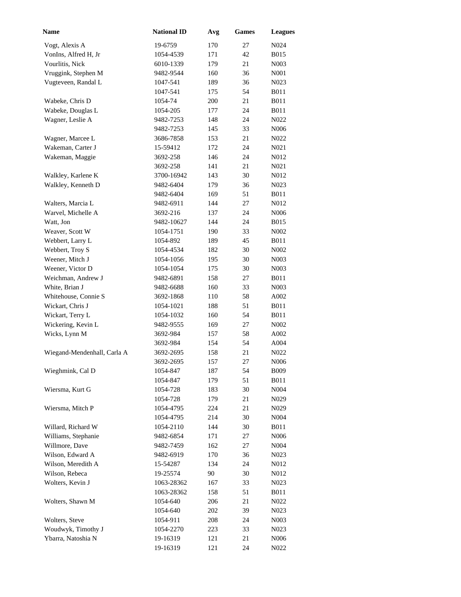| Name                        | <b>National ID</b> | Avg | <b>Games</b> | <b>Leagues</b>    |
|-----------------------------|--------------------|-----|--------------|-------------------|
| Vogt, Alexis A              | 19-6759            | 170 | 27           | N <sub>0</sub> 24 |
| VonIns, Alfred H, Jr        | 1054-4539          | 171 | 42           | <b>B015</b>       |
| Vourlitis, Nick             | 6010-1339          | 179 | 21           | N <sub>00</sub> 3 |
| Vruggink, Stephen M         | 9482-9544          | 160 | 36           | N001              |
| Vugteveen, Randal L         | 1047-541           | 189 | 36           | N <sub>0</sub> 23 |
|                             | 1047-541           | 175 | 54           | <b>B011</b>       |
| Wabeke, Chris D             | 1054-74            | 200 | 21           | <b>B011</b>       |
| Wabeke, Douglas L           | 1054-205           | 177 | 24           | <b>B011</b>       |
| Wagner, Leslie A            | 9482-7253          | 148 | 24           | N022              |
|                             | 9482-7253          | 145 | 33           | N006              |
| Wagner, Marcee L            | 3686-7858          | 153 | 21           | N022              |
| Wakeman, Carter J           | 15-59412           | 172 | 24           | N021              |
| Wakeman, Maggie             | 3692-258           | 146 | 24           | N012              |
|                             | 3692-258           | 141 | 21           | N <sub>0</sub> 21 |
| Walkley, Karlene K          | 3700-16942         | 143 | 30           | N012              |
| Walkley, Kenneth D          | 9482-6404          | 179 | 36           | N <sub>0</sub> 23 |
|                             | 9482-6404          | 169 | 51           | B011              |
| Walters, Marcia L           | 9482-6911          | 144 | 27           | N012              |
| Warvel, Michelle A          | 3692-216           | 137 | 24           | N006              |
| Watt, Jon                   | 9482-10627         | 144 | 24           | <b>B015</b>       |
| Weaver, Scott W             | 1054-1751          | 190 | 33           | N002              |
| Webbert, Larry L            | 1054-892           | 189 | 45           | <b>B011</b>       |
| Webbert, Troy S             | 1054-4534          | 182 | 30           | N002              |
| Weener, Mitch J             | 1054-1056          | 195 | 30           | N <sub>0</sub> 03 |
| Weener, Victor D            | 1054-1054          | 175 | 30           | N <sub>0</sub> 03 |
| Weichman, Andrew J          | 9482-6891          | 158 | 27           | <b>B011</b>       |
| White, Brian J              | 9482-6688          | 160 | 33           | N <sub>0</sub> 03 |
| Whitehouse, Connie S        | 3692-1868          | 110 | 58           | A002              |
| Wickart, Chris J            | 1054-1021          | 188 | 51           | <b>B011</b>       |
| Wickart, Terry L            | 1054-1032          | 160 | 54           | <b>B011</b>       |
| Wickering, Kevin L          | 9482-9555          | 169 | 27           | N <sub>0</sub> 02 |
| Wicks, Lynn M               | 3692-984           | 157 | 58           | A002              |
|                             | 3692-984           | 154 | 54           | A004              |
| Wiegand-Mendenhall, Carla A | 3692-2695          | 158 | 21           | N022              |
|                             | 3692-2695          | 157 | 27           | N <sub>006</sub>  |
| Wieghmink, Cal D            | 1054-847           | 187 | 54           | <b>B009</b>       |
|                             | 1054-847           | 179 | 51           | <b>B011</b>       |
| Wiersma, Kurt G             | 1054-728           | 183 | 30           | N004              |
|                             | 1054-728           | 179 | 21           | N <sub>0</sub> 29 |
| Wiersma, Mitch P            | 1054-4795          | 224 | 21           | N <sub>0</sub> 29 |
|                             | 1054-4795          | 214 | 30           | N <sub>004</sub>  |
| Willard, Richard W          | 1054-2110          | 144 | 30           | <b>B011</b>       |
| Williams, Stephanie         | 9482-6854          | 171 | 27           | N006              |
| Willmore, Dave              | 9482-7459          | 162 | 27           | N <sub>004</sub>  |
| Wilson, Edward A            | 9482-6919          | 170 | 36           | N <sub>0</sub> 23 |
| Wilson, Meredith A          | 15-54287           | 134 | 24           | N012              |
| Wilson, Rebeca              | 19-25574           | 90  | 30           | N012              |
| Wolters, Kevin J            | 1063-28362         | 167 | 33           | N <sub>0</sub> 23 |
|                             | 1063-28362         | 158 | 51           | <b>B011</b>       |
| Wolters, Shawn M            | 1054-640           | 206 | 21           | N <sub>0</sub> 22 |
|                             | 1054-640           | 202 | 39           | N <sub>0</sub> 23 |
| Wolters, Steve              | 1054-911           | 208 | 24           | N <sub>0</sub> 03 |
| Woudwyk, Timothy J          | 1054-2270          | 223 | 33           | N <sub>0</sub> 23 |
| Ybarra, Natoshia N          | 19-16319           | 121 | 21           | N <sub>006</sub>  |
|                             | 19-16319           | 121 | 24           | N022              |